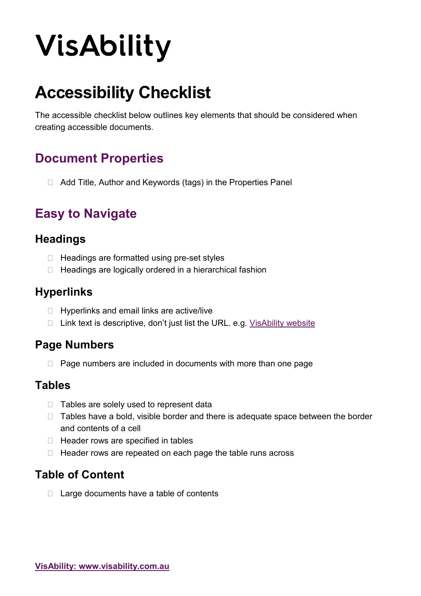# **VisAbility**

## **Accessibility Checklist**

The accessible checklist below outlines key elements that should be considered when creating accessible documents.

## **Document Properties**

□ Add Title, Author and Keywords (tags) in the Properties Panel

## **Easy to Navigate**

#### **Headings**

- $\Box$  Headings are formatted using pre-set styles
- $\Box$  Headings are logically ordered in a hierarchical fashion

#### **Hyperlinks**

- $\Box$  Hyperlinks and email links are active/live
- $\Box$  Link text is descriptive, don't just list the URL. e.g. [VisAbility website](http://www.visability.com.au/)

### **Page Numbers**

 $\Box$  Page numbers are included in documents with more than one page

#### **Tables**

- $\Box$  Tables are solely used to represent data
- $\Box$  Tables have a bold, visible border and there is adequate space between the border and contents of a cell
- $\Box$  Header rows are specified in tables
- $\Box$  Header rows are repeated on each page the table runs across

## **Table of Content**

 $\Box$  Large documents have a table of contents